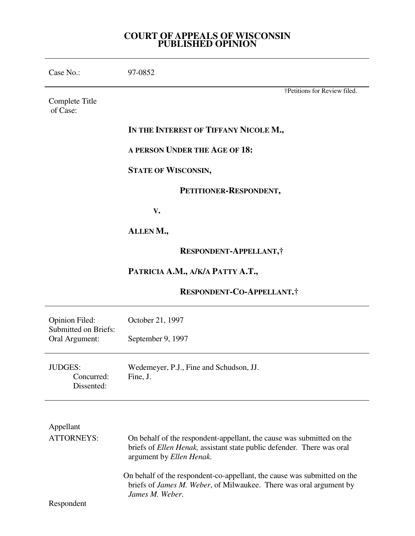# **COURT OF APPEALS OF WISCONSIN PUBLISHED OPINION**

| Case No.:                                                       | 97-0852                                                                                                                                                                     |
|-----------------------------------------------------------------|-----------------------------------------------------------------------------------------------------------------------------------------------------------------------------|
| Complete Title<br>of Case:                                      | †Petitions for Review filed.                                                                                                                                                |
|                                                                 | IN THE INTEREST OF TIFFANY NICOLE M.,                                                                                                                                       |
|                                                                 | A PERSON UNDER THE AGE OF 18:                                                                                                                                               |
|                                                                 | <b>STATE OF WISCONSIN,</b>                                                                                                                                                  |
|                                                                 | PETITIONER-RESPONDENT,                                                                                                                                                      |
|                                                                 | V.                                                                                                                                                                          |
|                                                                 | ALLENM.,                                                                                                                                                                    |
|                                                                 | RESPONDENT-APPELLANT,                                                                                                                                                       |
|                                                                 | PATRICIA A.M., A/K/A PATTY A.T.,                                                                                                                                            |
|                                                                 | RESPONDENT-CO-APPELLANT.†                                                                                                                                                   |
| Opinion Filed:<br><b>Submitted on Briefs:</b><br>Oral Argument: | October 21, 1997                                                                                                                                                            |
|                                                                 | September 9, 1997                                                                                                                                                           |
| JUDGES:<br>Concurred:<br>Dissented:                             | Wedemeyer, P.J., Fine and Schudson, JJ.<br>Fine, J.                                                                                                                         |
|                                                                 |                                                                                                                                                                             |
| Appellant                                                       |                                                                                                                                                                             |
| <b>ATTORNEYS:</b>                                               | On behalf of the respondent-appellant, the cause was submitted on the<br>briefs of Ellen Henak, assistant state public defender. There was oral<br>argument by Ellen Henak. |
| Respondent                                                      | On behalf of the respondent-co-appellant, the cause was submitted on the<br>briefs of James M. Weber, of Milwaukee. There was oral argument by<br>James M. Weber.           |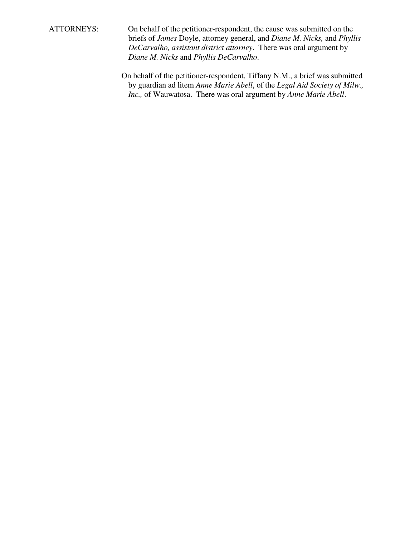ATTORNEYS: On behalf of the petitioner-respondent, the cause was submitted on the briefs of *James* Doyle, attorney general, and *Diane M. Nicks,* and *Phyllis DeCarvalho, assistant district attorney*. There was oral argument by *Diane M. Nicks* and *Phyllis DeCarvalho*.

> On behalf of the petitioner-respondent, Tiffany N.M., a brief was submitted by guardian ad litem *Anne Marie Abell*, of the *Legal Aid Society of Milw., Inc.,* of Wauwatosa. There was oral argument by *Anne Marie Abell*.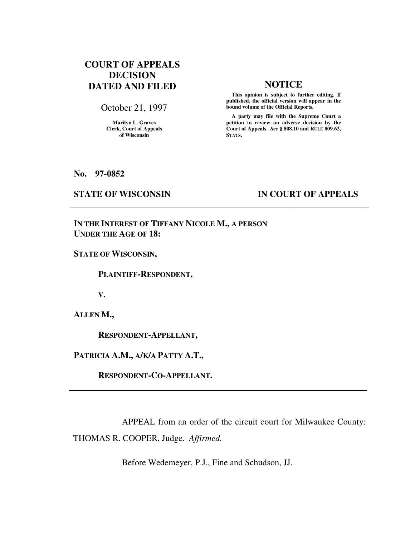# **COURT OF APPEALS DECISION DATED AND FILED NOTICE**

October 21, 1997

**Marilyn L. Graves Clerk, Court of Appeals of Wisconsin** 

 **This opinion is subject to further editing. If published, the official version will appear in the bound volume of the Official Reports.**

 **A party may file with the Supreme Court a petition to review an adverse decision by the Court of Appeals.** *See* **§ 808.10 and RULE 809.62, STATS.** 

**No. 97-0852** 

# **STATE OF WISCONSIN IN COURT OF APPEALS**

**IN THE INTEREST OF TIFFANY NICOLE M., A PERSON UNDER THE AGE OF 18:** 

**STATE OF WISCONSIN,** 

 **PLAINTIFF-RESPONDENT,** 

**V.** 

**ALLEN M.,** 

 **RESPONDENT-APPELLANT,** 

**PATRICIA A.M., A/K/A PATTY A.T.,** 

 **RESPONDENT-CO-APPELLANT.** 

 APPEAL from an order of the circuit court for Milwaukee County: THOMAS R. COOPER, Judge. *Affirmed.*

Before Wedemeyer, P.J., Fine and Schudson, JJ.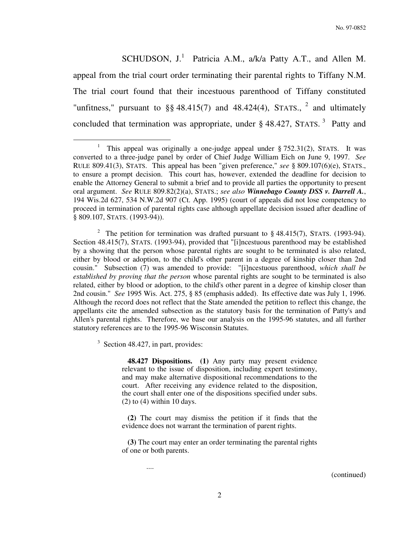No. 97-0852

SCHUDSON,  $J<sup>1</sup>$  Patricia A.M., a/k/a Patty A.T., and Allen M. appeal from the trial court order terminating their parental rights to Tiffany N.M. The trial court found that their incestuous parenthood of Tiffany constituted "unfitness," pursuant to  $\S$ § 48.415(7) and 48.424(4), STATS., <sup>2</sup> and ultimately concluded that termination was appropriate, under  $\S$  48.427, STATS.<sup>3</sup> Patty and

<sup>2</sup> The petition for termination was drafted pursuant to  $\S$  48.415(7), STATS. (1993-94). Section 48.415(7), STATS. (1993-94), provided that "[i]ncestuous parenthood may be established by a showing that the person whose parental rights are sought to be terminated is also related, either by blood or adoption, to the child's other parent in a degree of kinship closer than 2nd cousin." Subsection (7) was amended to provide: "[i]ncestuous parenthood, *which shall be established by proving that the person* whose parental rights are sought to be terminated is also related, either by blood or adoption, to the child's other parent in a degree of kinship closer than 2nd cousin." *See* 1995 Wis. Act. 275, § 85 (emphasis added). Its effective date was July 1, 1996. Although the record does not reflect that the State amended the petition to reflect this change, the appellants cite the amended subsection as the statutory basis for the termination of Patty's and Allen's parental rights. Therefore, we base our analysis on the 1995-96 statutes, and all further statutory references are to the 1995-96 Wisconsin Statutes.

<sup>3</sup> Section 48.427, in part, provides:

....

 $\overline{a}$ 

 **48.427 Dispositions. (1)** Any party may present evidence relevant to the issue of disposition, including expert testimony, and may make alternative dispositional recommendations to the court. After receiving any evidence related to the disposition, the court shall enter one of the dispositions specified under subs.  $(2)$  to  $(4)$  within 10 days.

 **(2)** The court may dismiss the petition if it finds that the evidence does not warrant the termination of parent rights.

 **(3)** The court may enter an order terminating the parental rights of one or both parents.

<sup>1</sup> This appeal was originally a one-judge appeal under § 752.31(2), STATS. It was converted to a three-judge panel by order of Chief Judge William Eich on June 9, 1997. *See* RULE 809.41(3), STATS. This appeal has been "given preference," *see* § 809.107(6)(e), STATS., to ensure a prompt decision. This court has, however, extended the deadline for decision to enable the Attorney General to submit a brief and to provide all parties the opportunity to present oral argument. *See* RULE 809.82(2)(a), STATS.; *see also Winnebago County DSS v. Darrell A.*, 194 Wis.2d 627, 534 N.W.2d 907 (Ct. App. 1995) (court of appeals did not lose competency to proceed in termination of parental rights case although appellate decision issued after deadline of § 809.107, STATS. (1993-94)).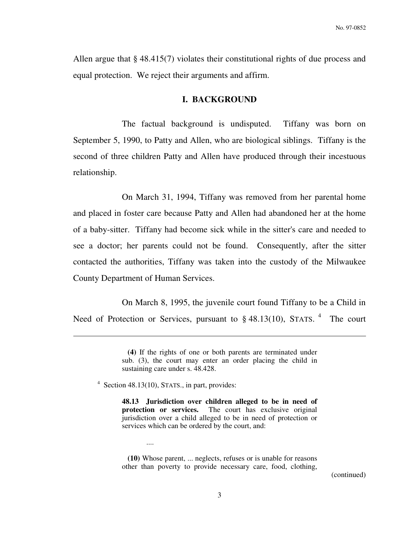Allen argue that § 48.415(7) violates their constitutional rights of due process and equal protection. We reject their arguments and affirm.

#### **I. BACKGROUND**

 The factual background is undisputed. Tiffany was born on September 5, 1990, to Patty and Allen, who are biological siblings. Tiffany is the second of three children Patty and Allen have produced through their incestuous relationship.

 On March 31, 1994, Tiffany was removed from her parental home and placed in foster care because Patty and Allen had abandoned her at the home of a baby-sitter. Tiffany had become sick while in the sitter's care and needed to see a doctor; her parents could not be found. Consequently, after the sitter contacted the authorities, Tiffany was taken into the custody of the Milwaukee County Department of Human Services.

 On March 8, 1995, the juvenile court found Tiffany to be a Child in Need of Protection or Services, pursuant to § 48.13(10), STATS. <sup>4</sup> The court

4 Section 48.13(10), STATS., in part, provides:

....

 $\overline{a}$ 

 **(10)** Whose parent, ... neglects, refuses or is unable for reasons other than poverty to provide necessary care, food, clothing,

**(4)** If the rights of one or both parents are terminated under sub. (3), the court may enter an order placing the child in sustaining care under s. 48.428.

**<sup>48.13</sup> Jurisdiction over children alleged to be in need of protection or services.** The court has exclusive original jurisdiction over a child alleged to be in need of protection or services which can be ordered by the court, and: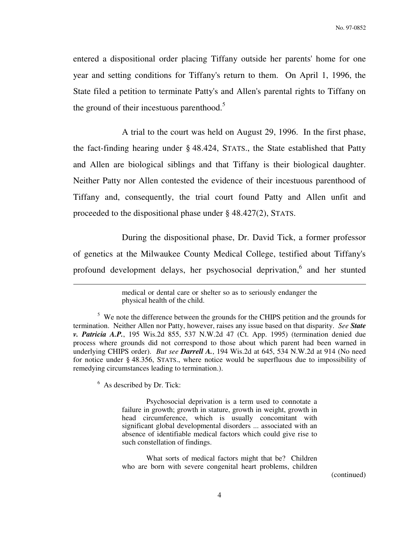entered a dispositional order placing Tiffany outside her parents' home for one year and setting conditions for Tiffany's return to them. On April 1, 1996, the State filed a petition to terminate Patty's and Allen's parental rights to Tiffany on the ground of their incestuous parenthood. $5$ 

 A trial to the court was held on August 29, 1996. In the first phase, the fact-finding hearing under § 48.424, STATS., the State established that Patty and Allen are biological siblings and that Tiffany is their biological daughter. Neither Patty nor Allen contested the evidence of their incestuous parenthood of Tiffany and, consequently, the trial court found Patty and Allen unfit and proceeded to the dispositional phase under § 48.427(2), STATS.

 During the dispositional phase, Dr. David Tick, a former professor of genetics at the Milwaukee County Medical College, testified about Tiffany's profound development delays, her psychosocial deprivation,<sup>6</sup> and her stunted

<sup>6</sup> As described by Dr. Tick:

 $\overline{a}$ 

 Psychosocial deprivation is a term used to connotate a failure in growth; growth in stature, growth in weight, growth in head circumference, which is usually concomitant with significant global developmental disorders ... associated with an absence of identifiable medical factors which could give rise to such constellation of findings.

 What sorts of medical factors might that be? Children who are born with severe congenital heart problems, children

medical or dental care or shelter so as to seriously endanger the physical health of the child.

<sup>&</sup>lt;sup>5</sup> We note the difference between the grounds for the CHIPS petition and the grounds for termination. Neither Allen nor Patty, however, raises any issue based on that disparity. *See State v. Patricia A.P.*, 195 Wis.2d 855, 537 N.W.2d 47 (Ct. App. 1995) (termination denied due process where grounds did not correspond to those about which parent had been warned in underlying CHIPS order). *But see Darrell A.*, 194 Wis.2d at 645, 534 N.W.2d at 914 (No need for notice under § 48.356, STATS., where notice would be superfluous due to impossibility of remedying circumstances leading to termination.).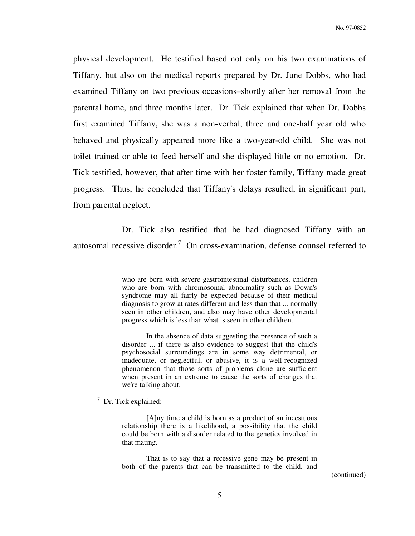physical development. He testified based not only on his two examinations of Tiffany, but also on the medical reports prepared by Dr. June Dobbs, who had examined Tiffany on two previous occasions–shortly after her removal from the parental home, and three months later. Dr. Tick explained that when Dr. Dobbs first examined Tiffany, she was a non-verbal, three and one-half year old who behaved and physically appeared more like a two-year-old child. She was not toilet trained or able to feed herself and she displayed little or no emotion. Dr. Tick testified, however, that after time with her foster family, Tiffany made great progress. Thus, he concluded that Tiffany's delays resulted, in significant part, from parental neglect.

 Dr. Tick also testified that he had diagnosed Tiffany with an autosomal recessive disorder.<sup>7</sup> On cross-examination, defense counsel referred to

7 Dr. Tick explained:

 $\overline{a}$ 

 [A]ny time a child is born as a product of an incestuous relationship there is a likelihood, a possibility that the child could be born with a disorder related to the genetics involved in that mating.

 That is to say that a recessive gene may be present in both of the parents that can be transmitted to the child, and

who are born with severe gastrointestinal disturbances, children who are born with chromosomal abnormality such as Down's syndrome may all fairly be expected because of their medical diagnosis to grow at rates different and less than that ... normally seen in other children, and also may have other developmental progress which is less than what is seen in other children.

In the absence of data suggesting the presence of such a disorder ... if there is also evidence to suggest that the child's psychosocial surroundings are in some way detrimental, or inadequate, or neglectful, or abusive, it is a well-recognized phenomenon that those sorts of problems alone are sufficient when present in an extreme to cause the sorts of changes that we're talking about.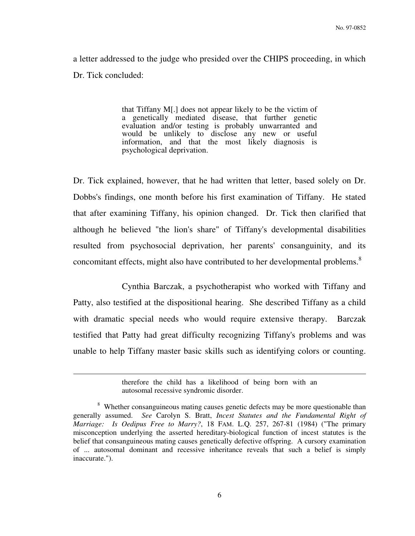a letter addressed to the judge who presided over the CHIPS proceeding, in which Dr. Tick concluded:

> that Tiffany M[.] does not appear likely to be the victim of a genetically mediated disease, that further genetic evaluation and/or testing is probably unwarranted and would be unlikely to disclose any new or useful information, and that the most likely diagnosis is psychological deprivation.

Dr. Tick explained, however, that he had written that letter, based solely on Dr. Dobbs's findings, one month before his first examination of Tiffany. He stated that after examining Tiffany, his opinion changed. Dr. Tick then clarified that although he believed "the lion's share" of Tiffany's developmental disabilities resulted from psychosocial deprivation, her parents' consanguinity, and its concomitant effects, might also have contributed to her developmental problems.<sup>8</sup>

 Cynthia Barczak, a psychotherapist who worked with Tiffany and Patty, also testified at the dispositional hearing. She described Tiffany as a child with dramatic special needs who would require extensive therapy. Barczak testified that Patty had great difficulty recognizing Tiffany's problems and was unable to help Tiffany master basic skills such as identifying colors or counting.

therefore the child has a likelihood of being born with an autosomal recessive syndromic disorder.

<sup>&</sup>lt;sup>8</sup> Whether consanguineous mating causes genetic defects may be more questionable than generally assumed. *See* Carolyn S. Bratt, *Incest Statutes and the Fundamental Right of Marriage: Is Oedipus Free to Marry?*, 18 FAM. L.Q. 257, 267-81 (1984) ("The primary misconception underlying the asserted hereditary-biological function of incest statutes is the belief that consanguineous mating causes genetically defective offspring. A cursory examination of ... autosomal dominant and recessive inheritance reveals that such a belief is simply inaccurate.").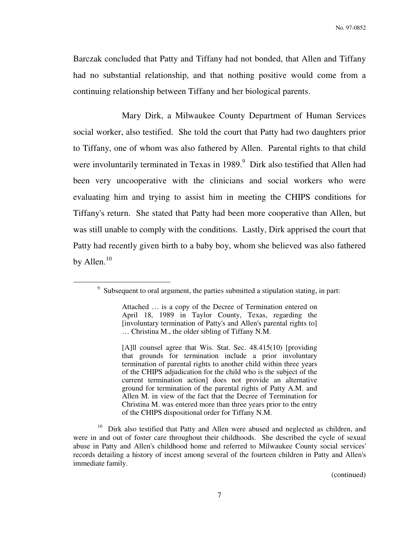Barczak concluded that Patty and Tiffany had not bonded, that Allen and Tiffany had no substantial relationship, and that nothing positive would come from a continuing relationship between Tiffany and her biological parents.

 Mary Dirk, a Milwaukee County Department of Human Services social worker, also testified. She told the court that Patty had two daughters prior to Tiffany, one of whom was also fathered by Allen. Parental rights to that child were involuntarily terminated in Texas in 1989.<sup>9</sup> Dirk also testified that Allen had been very uncooperative with the clinicians and social workers who were evaluating him and trying to assist him in meeting the CHIPS conditions for Tiffany's return. She stated that Patty had been more cooperative than Allen, but was still unable to comply with the conditions. Lastly, Dirk apprised the court that Patty had recently given birth to a baby boy, whom she believed was also fathered by Allen. $10$ 

 $\overline{a}$ 

[A]ll counsel agree that Wis. Stat. Sec. 48.415(10) [providing that grounds for termination include a prior involuntary termination of parental rights to another child within three years of the CHIPS adjudication for the child who is the subject of the current termination action] does not provide an alternative ground for termination of the parental rights of Patty A.M. and Allen M. in view of the fact that the Decree of Termination for Christina M. was entered more than three years prior to the entry of the CHIPS dispositional order for Tiffany N.M.

<sup>&</sup>lt;sup>9</sup> Subsequent to oral argument, the parties submitted a stipulation stating, in part:

Attached … is a copy of the Decree of Termination entered on April 18, 1989 in Taylor County, Texas, regarding the [involuntary termination of Patty's and Allen's parental rights to] … Christina M., the older sibling of Tiffany N.M.

<sup>&</sup>lt;sup>10</sup> Dirk also testified that Patty and Allen were abused and neglected as children, and were in and out of foster care throughout their childhoods. She described the cycle of sexual abuse in Patty and Allen's childhood home and referred to Milwaukee County social services' records detailing a history of incest among several of the fourteen children in Patty and Allen's immediate family.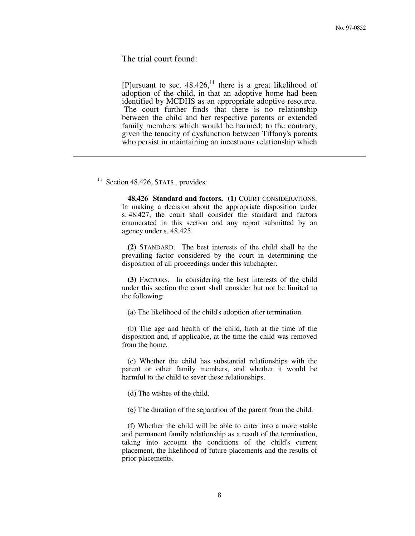The trial court found:

[P]ursuant to sec.  $48.426$ ,<sup>11</sup> there is a great likelihood of adoption of the child, in that an adoptive home had been identified by MCDHS as an appropriate adoptive resource. The court further finds that there is no relationship between the child and her respective parents or extended family members which would be harmed; to the contrary, given the tenacity of dysfunction between Tiffany's parents who persist in maintaining an incestuous relationship which

 $11$  Section 48.426, STATS., provides:

 $\overline{a}$ 

 **48.426 Standard and factors. (1)** COURT CONSIDERATIONS. In making a decision about the appropriate disposition under s. 48.427, the court shall consider the standard and factors enumerated in this section and any report submitted by an agency under s. 48.425.

 **(2)** STANDARD. The best interests of the child shall be the prevailing factor considered by the court in determining the disposition of all proceedings under this subchapter.

 **(3)** FACTORS. In considering the best interests of the child under this section the court shall consider but not be limited to the following:

(a) The likelihood of the child's adoption after termination.

 (b) The age and health of the child, both at the time of the disposition and, if applicable, at the time the child was removed from the home.

 (c) Whether the child has substantial relationships with the parent or other family members, and whether it would be harmful to the child to sever these relationships.

(d) The wishes of the child.

(e) The duration of the separation of the parent from the child.

 (f) Whether the child will be able to enter into a more stable and permanent family relationship as a result of the termination, taking into account the conditions of the child's current placement, the likelihood of future placements and the results of prior placements.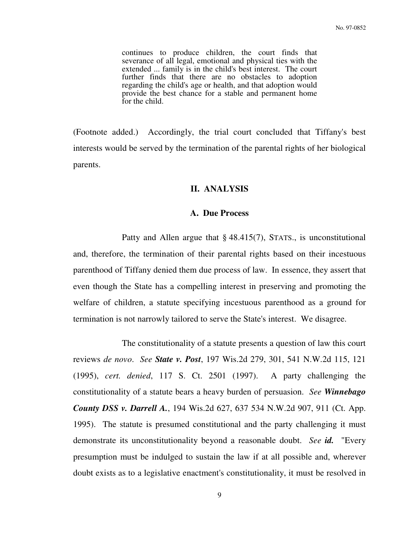continues to produce children, the court finds that severance of all legal, emotional and physical ties with the extended ... family is in the child's best interest. The court further finds that there are no obstacles to adoption regarding the child's age or health, and that adoption would provide the best chance for a stable and permanent home for the child.

(Footnote added.) Accordingly, the trial court concluded that Tiffany's best interests would be served by the termination of the parental rights of her biological parents.

### **II. ANALYSIS**

## **A. Due Process**

Patty and Allen argue that  $\S$  48.415(7), STATS., is unconstitutional and, therefore, the termination of their parental rights based on their incestuous parenthood of Tiffany denied them due process of law. In essence, they assert that even though the State has a compelling interest in preserving and promoting the welfare of children, a statute specifying incestuous parenthood as a ground for termination is not narrowly tailored to serve the State's interest. We disagree.

 The constitutionality of a statute presents a question of law this court reviews *de novo*. *See State v. Post*, 197 Wis.2d 279, 301, 541 N.W.2d 115, 121 (1995), *cert. denied*, 117 S. Ct. 2501 (1997). A party challenging the constitutionality of a statute bears a heavy burden of persuasion. *See Winnebago County DSS v. Darrell A.*, 194 Wis.2d 627, 637 534 N.W.2d 907, 911 (Ct. App. 1995). The statute is presumed constitutional and the party challenging it must demonstrate its unconstitutionality beyond a reasonable doubt. *See id.* "Every presumption must be indulged to sustain the law if at all possible and, wherever doubt exists as to a legislative enactment's constitutionality, it must be resolved in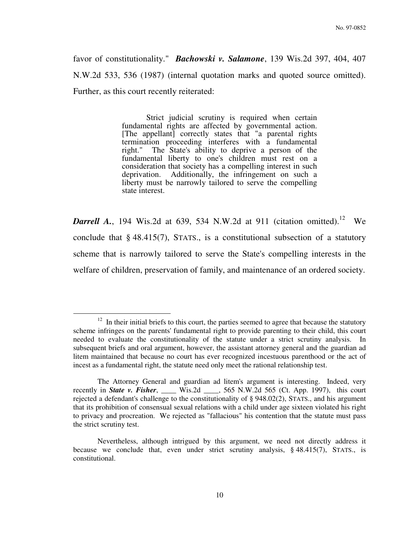favor of constitutionality." *Bachowski v. Salamone*, 139 Wis.2d 397, 404, 407 N.W.2d 533, 536 (1987) (internal quotation marks and quoted source omitted). Further, as this court recently reiterated:

> Strict judicial scrutiny is required when certain fundamental rights are affected by governmental action. [The appellant] correctly states that "a parental rights termination proceeding interferes with a fundamental right." The State's ability to deprive a person of the fundamental liberty to one's children must rest on a consideration that society has a compelling interest in such deprivation. Additionally, the infringement on such a liberty must be narrowly tailored to serve the compelling state interest.

**Darrell A.**, 194 Wis.2d at 639, 534 N.W.2d at 911 (citation omitted).<sup>12</sup> We conclude that § 48.415(7), STATS., is a constitutional subsection of a statutory scheme that is narrowly tailored to serve the State's compelling interests in the welfare of children, preservation of family, and maintenance of an ordered society.

 $12$  In their initial briefs to this court, the parties seemed to agree that because the statutory scheme infringes on the parents' fundamental right to provide parenting to their child, this court needed to evaluate the constitutionality of the statute under a strict scrutiny analysis. In subsequent briefs and oral argument, however, the assistant attorney general and the guardian ad litem maintained that because no court has ever recognized incestuous parenthood or the act of incest as a fundamental right, the statute need only meet the rational relationship test.

The Attorney General and guardian ad litem's argument is interesting. Indeed, very recently in *State v. Fisher*, \_\_\_\_ Wis.2d \_\_\_\_, 565 N.W.2d 565 (Ct. App. 1997), this court rejected a defendant's challenge to the constitutionality of § 948.02(2), STATS., and his argument that its prohibition of consensual sexual relations with a child under age sixteen violated his right to privacy and procreation. We rejected as "fallacious" his contention that the statute must pass the strict scrutiny test.

Nevertheless, although intrigued by this argument, we need not directly address it because we conclude that, even under strict scrutiny analysis, § 48.415(7), STATS., is constitutional.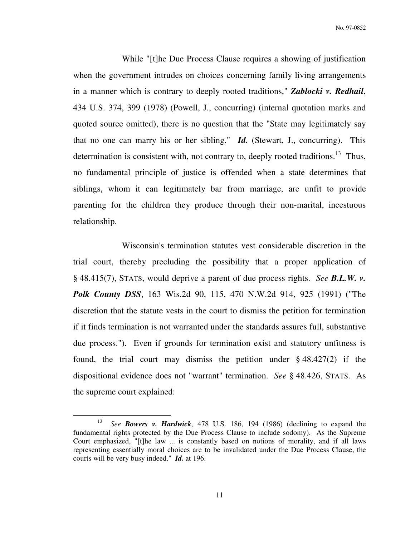No. 97-0852

 While "[t]he Due Process Clause requires a showing of justification when the government intrudes on choices concerning family living arrangements in a manner which is contrary to deeply rooted traditions," *Zablocki v. Redhail*, 434 U.S. 374, 399 (1978) (Powell, J., concurring) (internal quotation marks and quoted source omitted), there is no question that the "State may legitimately say that no one can marry his or her sibling." *Id.* (Stewart, J., concurring). This determination is consistent with, not contrary to, deeply rooted traditions.<sup>13</sup> Thus, no fundamental principle of justice is offended when a state determines that siblings, whom it can legitimately bar from marriage, are unfit to provide parenting for the children they produce through their non-marital, incestuous relationship.

 Wisconsin's termination statutes vest considerable discretion in the trial court, thereby precluding the possibility that a proper application of § 48.415(7), STATS, would deprive a parent of due process rights. *See B.L.W. v. Polk County DSS*, 163 Wis.2d 90, 115, 470 N.W.2d 914, 925 (1991) ("The discretion that the statute vests in the court to dismiss the petition for termination if it finds termination is not warranted under the standards assures full, substantive due process."). Even if grounds for termination exist and statutory unfitness is found, the trial court may dismiss the petition under  $\S$  48.427(2) if the dispositional evidence does not "warrant" termination. *See* § 48.426, STATS. As the supreme court explained:

<sup>13</sup> *See Bowers v. Hardwick,* 478 U.S. 186, 194 (1986) (declining to expand the fundamental rights protected by the Due Process Clause to include sodomy). As the Supreme Court emphasized, "[t]he law ... is constantly based on notions of morality, and if all laws representing essentially moral choices are to be invalidated under the Due Process Clause, the courts will be very busy indeed." *Id.* at 196.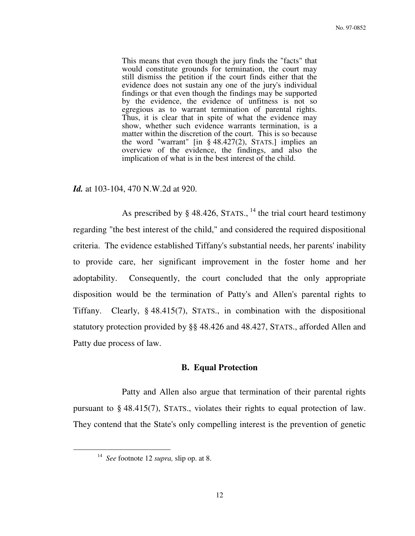This means that even though the jury finds the "facts" that would constitute grounds for termination, the court may still dismiss the petition if the court finds either that the evidence does not sustain any one of the jury's individual findings or that even though the findings may be supported by the evidence, the evidence of unfitness is not so egregious as to warrant termination of parental rights. Thus, it is clear that in spite of what the evidence may show, whether such evidence warrants termination, is a matter within the discretion of the court. This is so because the word "warrant" [in  $\S$  48.427(2), STATS.] implies an overview of the evidence, the findings, and also the implication of what is in the best interest of the child.

### *Id.* at 103-104, 470 N.W.2d at 920.

As prescribed by  $\S$  48.426, STATS., <sup>14</sup> the trial court heard testimony regarding "the best interest of the child," and considered the required dispositional criteria. The evidence established Tiffany's substantial needs, her parents' inability to provide care, her significant improvement in the foster home and her adoptability. Consequently, the court concluded that the only appropriate disposition would be the termination of Patty's and Allen's parental rights to Tiffany. Clearly, § 48.415(7), STATS., in combination with the dispositional statutory protection provided by §§ 48.426 and 48.427, STATS., afforded Allen and Patty due process of law.

### **B. Equal Protection**

 Patty and Allen also argue that termination of their parental rights pursuant to § 48.415(7), STATS., violates their rights to equal protection of law. They contend that the State's only compelling interest is the prevention of genetic

<sup>14</sup> *See* footnote 12 *supra,* slip op. at 8.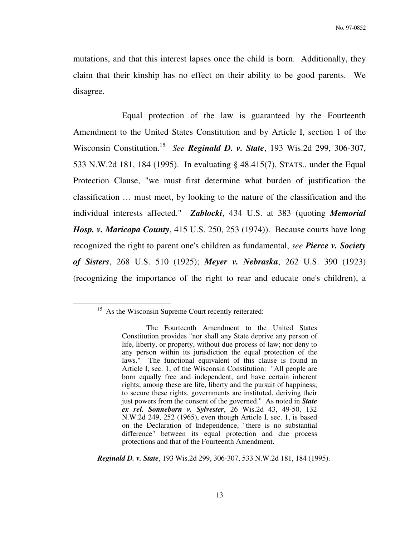mutations, and that this interest lapses once the child is born. Additionally, they claim that their kinship has no effect on their ability to be good parents. We disagree.

 Equal protection of the law is guaranteed by the Fourteenth Amendment to the United States Constitution and by Article I, section 1 of the Wisconsin Constitution.<sup>15</sup> See **Reginald D. v. State**, 193 Wis.2d 299, 306-307, 533 N.W.2d 181, 184 (1995). In evaluating § 48.415(7), STATS., under the Equal Protection Clause, "we must first determine what burden of justification the classification … must meet, by looking to the nature of the classification and the individual interests affected." *Zablocki*, 434 U.S. at 383 (quoting *Memorial Hosp. v. Maricopa County*, 415 U.S. 250, 253 (1974)). Because courts have long recognized the right to parent one's children as fundamental, *see Pierce v. Society of Sisters*, 268 U.S. 510 (1925); *Meyer v. Nebraska*, 262 U.S. 390 (1923) (recognizing the importance of the right to rear and educate one's children), a

<sup>&</sup>lt;sup>15</sup> As the Wisconsin Supreme Court recently reiterated:

The Fourteenth Amendment to the United States Constitution provides "nor shall any State deprive any person of life, liberty, or property, without due process of law; nor deny to any person within its jurisdiction the equal protection of the laws." The functional equivalent of this clause is found in Article I, sec. 1, of the Wisconsin Constitution: "All people are born equally free and independent, and have certain inherent rights; among these are life, liberty and the pursuit of happiness; to secure these rights, governments are instituted, deriving their just powers from the consent of the governed." As noted in *State ex rel. Sonneborn v. Sylvester*, 26 Wis.2d 43, 49-50, 132 N.W.2d 249, 252 (1965), even though Article I, sec. 1, is based on the Declaration of Independence, "there is no substantial difference" between its equal protection and due process protections and that of the Fourteenth Amendment.

*Reginald D. v. State*, 193 Wis.2d 299, 306-307, 533 N.W.2d 181, 184 (1995).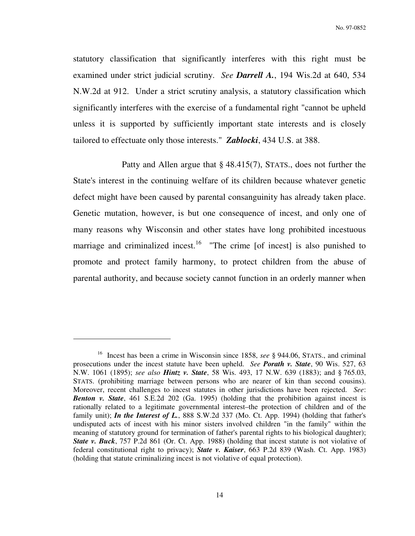statutory classification that significantly interferes with this right must be examined under strict judicial scrutiny. *See Darrell A.*, 194 Wis.2d at 640, 534 N.W.2d at 912. Under a strict scrutiny analysis, a statutory classification which significantly interferes with the exercise of a fundamental right "cannot be upheld unless it is supported by sufficiently important state interests and is closely tailored to effectuate only those interests." *Zablocki*, 434 U.S. at 388.

 Patty and Allen argue that § 48.415(7), STATS., does not further the State's interest in the continuing welfare of its children because whatever genetic defect might have been caused by parental consanguinity has already taken place. Genetic mutation, however, is but one consequence of incest, and only one of many reasons why Wisconsin and other states have long prohibited incestuous marriage and criminalized incest.<sup>16</sup> "The crime [of incest] is also punished to promote and protect family harmony, to protect children from the abuse of parental authority, and because society cannot function in an orderly manner when

<sup>16</sup> Incest has been a crime in Wisconsin since 1858, *see* § 944.06, STATS., and criminal prosecutions under the incest statute have been upheld. *See Porath v. State*, 90 Wis. 527, 63 N.W. 1061 (1895); *see also Hintz v. State*, 58 Wis. 493, 17 N.W. 639 (1883); and § 765.03, STATS. (prohibiting marriage between persons who are nearer of kin than second cousins). Moreover, recent challenges to incest statutes in other jurisdictions have been rejected. *See*: *Benton v. State*, 461 S.E.2d 202 (Ga. 1995) (holding that the prohibition against incest is rationally related to a legitimate governmental interest–the protection of children and of the family unit); *In the Interest of L.*, 888 S.W.2d 337 (Mo. Ct. App. 1994) (holding that father's undisputed acts of incest with his minor sisters involved children "in the family" within the meaning of statutory ground for termination of father's parental rights to his biological daughter); *State v. Buck*, 757 P.2d 861 (Or. Ct. App. 1988) (holding that incest statute is not violative of federal constitutional right to privacy); *State v. Kaiser*, 663 P.2d 839 (Wash. Ct. App. 1983) (holding that statute criminalizing incest is not violative of equal protection).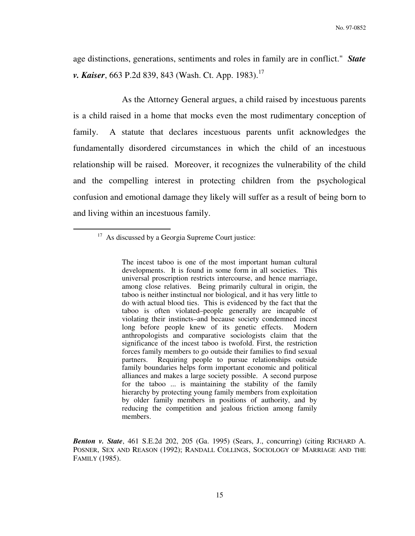age distinctions, generations, sentiments and roles in family are in conflict." *State v. Kaiser*, 663 P.2d 839, 843 (Wash. Ct. App. 1983).<sup>17</sup>

 As the Attorney General argues, a child raised by incestuous parents is a child raised in a home that mocks even the most rudimentary conception of family. A statute that declares incestuous parents unfit acknowledges the fundamentally disordered circumstances in which the child of an incestuous relationship will be raised. Moreover, it recognizes the vulnerability of the child and the compelling interest in protecting children from the psychological confusion and emotional damage they likely will suffer as a result of being born to and living within an incestuous family.

 $\overline{a}$ 

*Benton v. State*, 461 S.E.2d 202, 205 (Ga. 1995) (Sears, J., concurring) (citing RICHARD A. POSNER, SEX AND REASON (1992); RANDALL COLLINGS, SOCIOLOGY OF MARRIAGE AND THE FAMILY (1985).

<sup>&</sup>lt;sup>17</sup> As discussed by a Georgia Supreme Court justice:

The incest taboo is one of the most important human cultural developments. It is found in some form in all societies. This universal proscription restricts intercourse, and hence marriage, among close relatives. Being primarily cultural in origin, the taboo is neither instinctual nor biological, and it has very little to do with actual blood ties. This is evidenced by the fact that the taboo is often violated–people generally are incapable of violating their instincts–and because society condemned incest long before people knew of its genetic effects. Modern anthropologists and comparative sociologists claim that the significance of the incest taboo is twofold. First, the restriction forces family members to go outside their families to find sexual partners. Requiring people to pursue relationships outside family boundaries helps form important economic and political alliances and makes a large society possible. A second purpose for the taboo ... is maintaining the stability of the family hierarchy by protecting young family members from exploitation by older family members in positions of authority, and by reducing the competition and jealous friction among family members.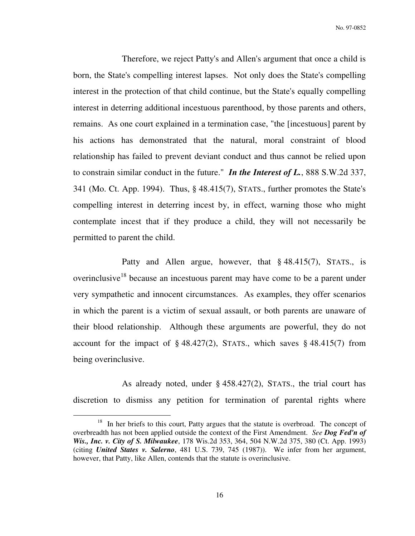No. 97-0852

 Therefore, we reject Patty's and Allen's argument that once a child is born, the State's compelling interest lapses. Not only does the State's compelling interest in the protection of that child continue, but the State's equally compelling interest in deterring additional incestuous parenthood, by those parents and others, remains. As one court explained in a termination case, "the [incestuous] parent by his actions has demonstrated that the natural, moral constraint of blood relationship has failed to prevent deviant conduct and thus cannot be relied upon to constrain similar conduct in the future." *In the Interest of L.*, 888 S.W.2d 337, 341 (Mo. Ct. App. 1994). Thus, § 48.415(7), STATS., further promotes the State's compelling interest in deterring incest by, in effect, warning those who might contemplate incest that if they produce a child, they will not necessarily be permitted to parent the child.

 Patty and Allen argue, however, that § 48.415(7), STATS., is overinclusive<sup>18</sup> because an incestuous parent may have come to be a parent under very sympathetic and innocent circumstances. As examples, they offer scenarios in which the parent is a victim of sexual assault, or both parents are unaware of their blood relationship. Although these arguments are powerful, they do not account for the impact of  $\S$  48.427(2), STATS., which saves  $\S$  48.415(7) from being overinclusive.

 As already noted, under § 458.427(2), STATS., the trial court has discretion to dismiss any petition for termination of parental rights where

<sup>&</sup>lt;sup>18</sup> In her briefs to this court, Patty argues that the statute is overbroad. The concept of overbreadth has not been applied outside the context of the First Amendment. *See Dog Fed'n of Wis., Inc. v. City of S. Milwaukee*, 178 Wis.2d 353, 364, 504 N.W.2d 375, 380 (Ct. App. 1993) (citing *United States v. Salerno*, 481 U.S. 739, 745 (1987)). We infer from her argument, however, that Patty, like Allen, contends that the statute is overinclusive.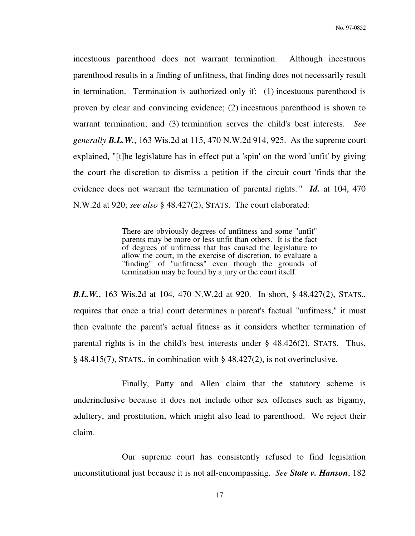incestuous parenthood does not warrant termination. Although incestuous parenthood results in a finding of unfitness, that finding does not necessarily result in termination. Termination is authorized only if: (1) incestuous parenthood is proven by clear and convincing evidence; (2) incestuous parenthood is shown to warrant termination; and (3) termination serves the child's best interests. *See generally B.L.W.*, 163 Wis.2d at 115, 470 N.W.2d 914, 925. As the supreme court explained, "[t]he legislature has in effect put a 'spin' on the word 'unfit' by giving the court the discretion to dismiss a petition if the circuit court 'finds that the evidence does not warrant the termination of parental rights.'" *Id.* at 104, 470 N.W.2d at 920; *see also* § 48.427(2), STATS. The court elaborated:

> There are obviously degrees of unfitness and some "unfit" parents may be more or less unfit than others. It is the fact of degrees of unfitness that has caused the legislature to allow the court, in the exercise of discretion, to evaluate a "finding" of "unfitness" even though the grounds of termination may be found by a jury or the court itself.

*B.L.W.*, 163 Wis.2d at 104, 470 N.W.2d at 920. In short, § 48.427(2), STATS., requires that once a trial court determines a parent's factual "unfitness," it must then evaluate the parent's actual fitness as it considers whether termination of parental rights is in the child's best interests under  $\S$  48.426(2), STATS. Thus, § 48.415(7), STATS., in combination with § 48.427(2), is not overinclusive.

 Finally, Patty and Allen claim that the statutory scheme is underinclusive because it does not include other sex offenses such as bigamy, adultery, and prostitution, which might also lead to parenthood. We reject their claim.

 Our supreme court has consistently refused to find legislation unconstitutional just because it is not all-encompassing. *See State v. Hanson*, 182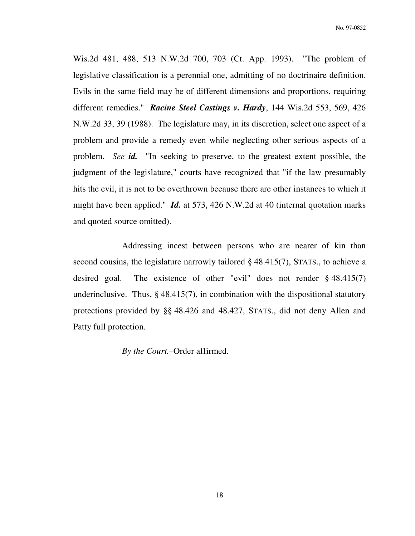Wis.2d 481, 488, 513 N.W.2d 700, 703 (Ct. App. 1993). "The problem of legislative classification is a perennial one, admitting of no doctrinaire definition. Evils in the same field may be of different dimensions and proportions, requiring different remedies." *Racine Steel Castings v. Hardy*, 144 Wis.2d 553, 569, 426 N.W.2d 33, 39 (1988). The legislature may, in its discretion, select one aspect of a problem and provide a remedy even while neglecting other serious aspects of a problem. *See id.* "In seeking to preserve, to the greatest extent possible, the judgment of the legislature," courts have recognized that "if the law presumably hits the evil, it is not to be overthrown because there are other instances to which it might have been applied." *Id.* at 573, 426 N.W.2d at 40 (internal quotation marks and quoted source omitted).

 Addressing incest between persons who are nearer of kin than second cousins, the legislature narrowly tailored § 48.415(7), STATS., to achieve a desired goal. The existence of other "evil" does not render § 48.415(7) underinclusive. Thus,  $\S$  48.415(7), in combination with the dispositional statutory protections provided by §§ 48.426 and 48.427, STATS., did not deny Allen and Patty full protection.

*By the Court.–*Order affirmed.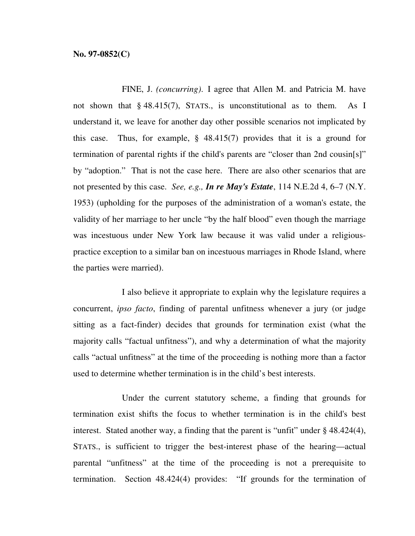FINE, J. *(concurring)*. I agree that Allen M. and Patricia M. have not shown that § 48.415(7), STATS., is unconstitutional as to them. As I understand it, we leave for another day other possible scenarios not implicated by this case. Thus, for example, § 48.415(7) provides that it is a ground for termination of parental rights if the child's parents are "closer than 2nd cousin[s]" by "adoption." That is not the case here. There are also other scenarios that are not presented by this case. *See, e.g., In re May's Estate*, 114 N.E.2d 4, 6–7 (N.Y. 1953) (upholding for the purposes of the administration of a woman's estate, the validity of her marriage to her uncle "by the half blood" even though the marriage was incestuous under New York law because it was valid under a religiouspractice exception to a similar ban on incestuous marriages in Rhode Island, where the parties were married).

 I also believe it appropriate to explain why the legislature requires a concurrent, *ipso facto*, finding of parental unfitness whenever a jury (or judge sitting as a fact-finder) decides that grounds for termination exist (what the majority calls "factual unfitness"), and why a determination of what the majority calls "actual unfitness" at the time of the proceeding is nothing more than a factor used to determine whether termination is in the child's best interests.

 Under the current statutory scheme, a finding that grounds for termination exist shifts the focus to whether termination is in the child's best interest. Stated another way, a finding that the parent is "unfit" under § 48.424(4), STATS., is sufficient to trigger the best-interest phase of the hearing—actual parental "unfitness" at the time of the proceeding is not a prerequisite to termination. Section 48.424(4) provides: "If grounds for the termination of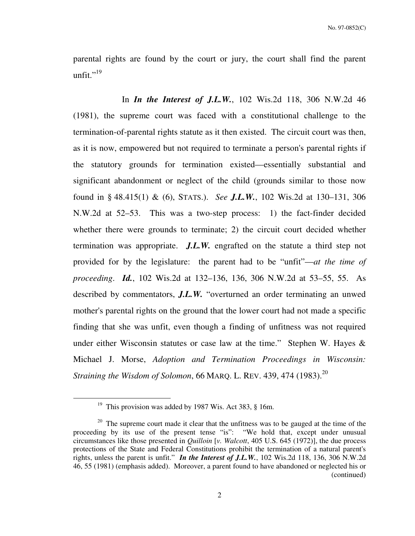parental rights are found by the court or jury, the court shall find the parent unfit." $^{19}$ 

 In *In the Interest of J.L.W.*, 102 Wis.2d 118, 306 N.W.2d 46 (1981), the supreme court was faced with a constitutional challenge to the termination-of-parental rights statute as it then existed. The circuit court was then, as it is now, empowered but not required to terminate a person's parental rights if the statutory grounds for termination existed—essentially substantial and significant abandonment or neglect of the child (grounds similar to those now found in § 48.415(1) & (6), STATS.). *See J.L.W.*, 102 Wis.2d at 130–131, 306 N.W.2d at 52–53. This was a two-step process: 1) the fact-finder decided whether there were grounds to terminate; 2) the circuit court decided whether termination was appropriate. *J.L.W.* engrafted on the statute a third step not provided for by the legislature: the parent had to be "unfit"—*at the time of proceeding*. *Id.*, 102 Wis.2d at 132–136, 136, 306 N.W.2d at 53–55, 55. As described by commentators, *J.L.W.* "overturned an order terminating an unwed mother's parental rights on the ground that the lower court had not made a specific finding that she was unfit, even though a finding of unfitness was not required under either Wisconsin statutes or case law at the time." Stephen W. Hayes  $\&$ Michael J. Morse, *Adoption and Termination Proceedings in Wisconsin: Straining the Wisdom of Solomon*, 66 MARQ. L. REV. 439, 474 (1983).<sup>20</sup>

<sup>&</sup>lt;sup>19</sup> This provision was added by 1987 Wis. Act 383,  $§$  16m.

<sup>&</sup>lt;sup>20</sup> The supreme court made it clear that the unfitness was to be gauged at the time of the proceeding by its use of the present tense "is": "We hold that, except under unusual circumstances like those presented in *Quilloin* [*v. Walcott*, 405 U.S. 645 (1972)], the due process protections of the State and Federal Constitutions prohibit the termination of a natural parent's rights, unless the parent is unfit." *In the Interest of J.L.W.*, 102 Wis.2d 118, 136, 306 N.W.2d 46, 55 (1981) (emphasis added). Moreover, a parent found to have abandoned or neglected his or (continued)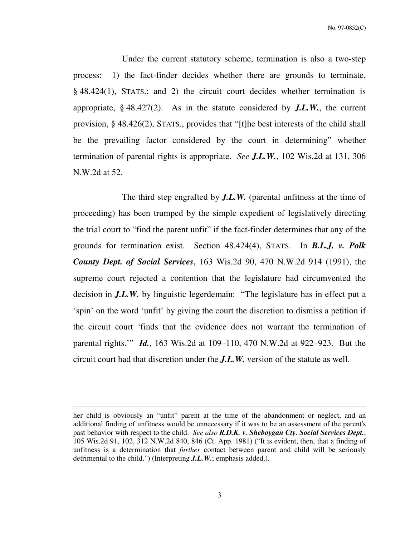No. 97-0852(C)

 Under the current statutory scheme, termination is also a two-step process: 1) the fact-finder decides whether there are grounds to terminate, § 48.424(1), STATS.; and 2) the circuit court decides whether termination is appropriate, § 48.427(2). As in the statute considered by *J.L.W.*, the current provision, § 48.426(2), STATS., provides that "[t]he best interests of the child shall be the prevailing factor considered by the court in determining" whether termination of parental rights is appropriate. *See J.L.W.*, 102 Wis.2d at 131, 306 N.W.2d at 52.

 The third step engrafted by *J.L.W.* (parental unfitness at the time of proceeding) has been trumped by the simple expedient of legislatively directing the trial court to "find the parent unfit" if the fact-finder determines that any of the grounds for termination exist. Section 48.424(4), STATS. In *B.L.J. v. Polk County Dept. of Social Services*, 163 Wis.2d 90, 470 N.W.2d 914 (1991), the supreme court rejected a contention that the legislature had circumvented the decision in *J.L.W.* by linguistic legerdemain: "The legislature has in effect put a 'spin' on the word 'unfit' by giving the court the discretion to dismiss a petition if the circuit court 'finds that the evidence does not warrant the termination of parental rights.'" *Id.*, 163 Wis.2d at 109–110, 470 N.W.2d at 922–923. But the circuit court had that discretion under the *J.L.W.* version of the statute as well.

her child is obviously an "unfit" parent at the time of the abandonment or neglect, and an additional finding of unfitness would be unnecessary if it was to be an assessment of the parent's past behavior with respect to the child. *See also R.D.K. v. Sheboygan Cty. Social Services Dept.*, 105 Wis.2d 91, 102, 312 N.W.2d 840, 846 (Ct. App. 1981) ("It is evident, then, that a finding of unfitness is a determination that *further* contact between parent and child will be seriously detrimental to the child.") (Interpreting *J.L.W.*; emphasis added.).